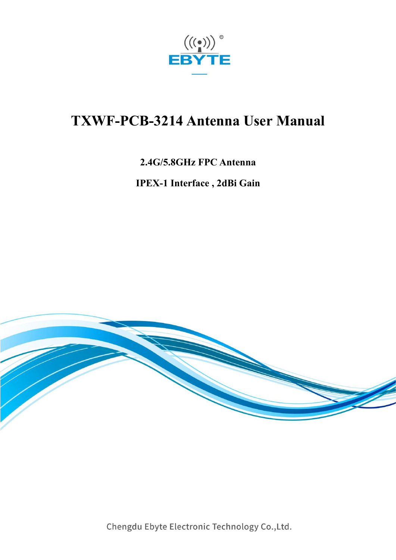

# **TXWF-PCB-3214 Antenna User Manual**

#### **2.4G/5.8GHz FPC Antenna**

**IPEX-1 Interface , 2dBi Gain**



Chengdu Ebyte Electronic Technology Co., Ltd.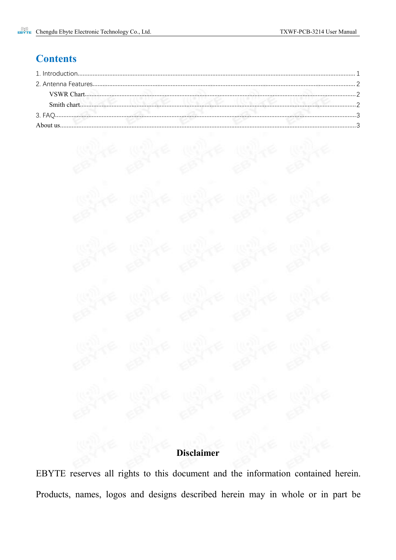# **Contents**



EBYTE reserves all rights to this document and the information contained herein. Products, names, logos and designs described herein may in whole or in part be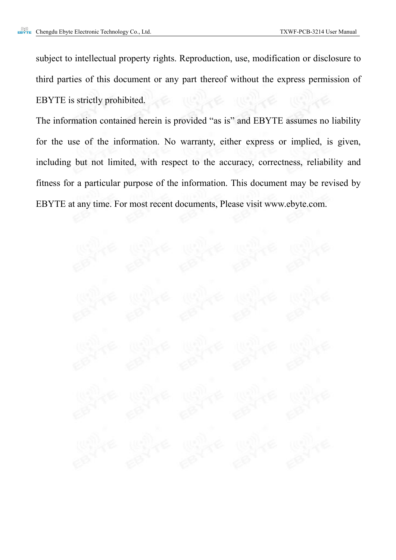subject to intellectual property rights. Reproduction, use, modification or disclosure to third parties of this document or any part thereof without the express permission of EBYTE is strictly prohibited.

The information contained herein is provided "as is" and EBYTE assumes no liability for the use of the information. No warranty, either express or implied, is given, including but not limited, with respect to the accuracy, correctness, reliability and fitness for a particular purpose of the information. This document may be revised by EBYTE at any time. For most recent documents, Please visit www.ebyte.com.

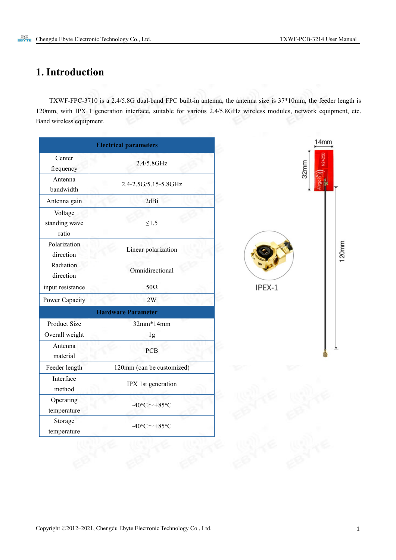## <span id="page-3-0"></span>**1. Introduction**

TXWF-FPC-3710 is a 2.4/5.8G dual-band FPC built-in antenna, the antenna size is 37\*10mm, the feeder length is 120mm, with IPX 1 generation interface, suitable for various 2.4/5.8GHz wireless modules, network equipment, etc. Band wireless equipment.

|                                   | <b>Electrical parameters</b>            |        |
|-----------------------------------|-----------------------------------------|--------|
| Center<br>frequency               | 2.4/5.8GHz                              |        |
| Antenna<br>bandwidth              | 2.4-2.5G/5.15-5.8GHz                    |        |
| Antenna gain                      | 2dBi                                    |        |
| Voltage<br>standing wave<br>ratio | $\leq1.5$                               |        |
| Polarization<br>direction         | Linear polarization                     |        |
| Radiation<br>direction            | Omnidirectional                         |        |
| input resistance                  | $50\Omega$                              | IPEX-1 |
| Power Capacity                    | 2W                                      |        |
|                                   | <b>Hardware Parameter</b>               |        |
| Product Size                      | $32mm*14mm$                             |        |
| Overall weight                    | 1g                                      |        |
| Antenna<br>material               | PCB                                     |        |
| Feeder length                     | 120mm (can be customized)               |        |
| Interface<br>method               | IPX 1st generation                      |        |
| Operating<br>temperature          | $-40^{\circ}$ C $\sim$ $+85^{\circ}$ C  |        |
| Storage<br>temperature            | $-40^{\circ}$ C $\sim$ +85 $^{\circ}$ C |        |

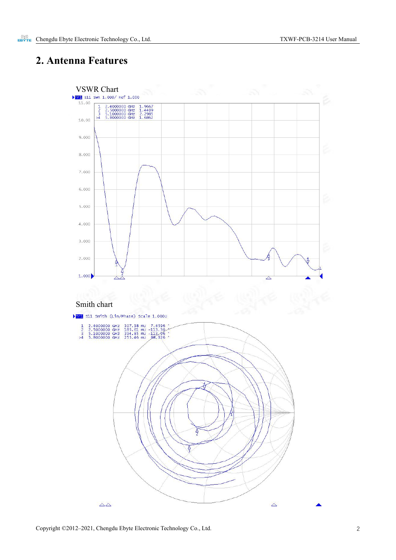#### <span id="page-4-0"></span>**2. Antenna Features**

<span id="page-4-2"></span><span id="page-4-1"></span>